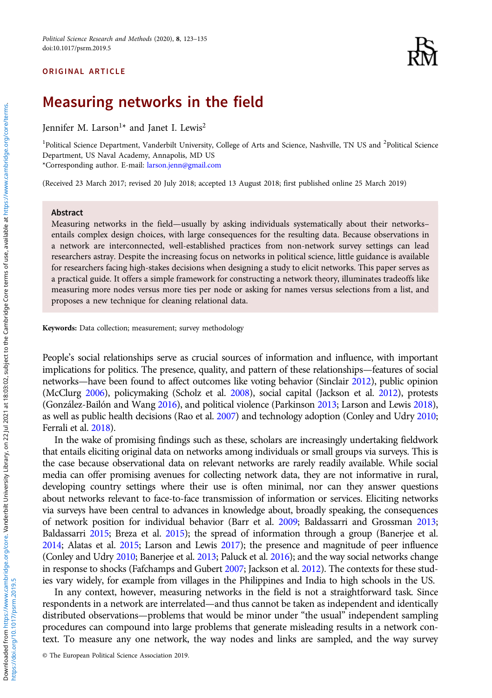# ORIGINAL ARTICLE



# Measuring networks in the field

Jennifer M. Larson<sup>1\*</sup> and Janet I. Lewis<sup>2</sup>

<sup>1</sup>Political Science Department, Vanderbilt University, College of Arts and Science, Nashville, TN US and <sup>2</sup>Political Science Department, US Naval Academy, Annapolis, MD US \*Corresponding author. E-mail: [larson.jenn@gmail.com](mailto:larson.jenn@gmail.com)

(Received 23 March 2017; revised 20 July 2018; accepted 13 August 2018; first published online 25 March 2019)

## Abstract

Measuring networks in the field—usually by asking individuals systematically about their networks– entails complex design choices, with large consequences for the resulting data. Because observations in a network are interconnected, well-established practices from non-network survey settings can lead researchers astray. Despite the increasing focus on networks in political science, little guidance is available for researchers facing high-stakes decisions when designing a study to elicit networks. This paper serves as a practical guide. It offers a simple framework for constructing a network theory, illuminates tradeoffs like measuring more nodes versus more ties per node or asking for names versus selections from a list, and proposes a new technique for cleaning relational data.

Keywords: Data collection; measurement; survey methodology

People's social relationships serve as crucial sources of information and influence, with important implications for politics. The presence, quality, and pattern of these relationships—features of social networks—have been found to affect outcomes like voting behavior (Sinclair [2012\)](#page-12-0), public opinion (McClurg [2006\)](#page-12-0), policymaking (Scholz et al. [2008](#page-12-0)), social capital (Jackson et al. [2012\)](#page-11-0), protests (González-Bailón and Wang [2016](#page-11-0)), and political violence (Parkinson [2013](#page-12-0); Larson and Lewis [2018\)](#page-11-0), as well as public health decisions (Rao et al. [2007](#page-12-0)) and technology adoption (Conley and Udry [2010](#page-11-0); Ferrali et al. [2018](#page-11-0)).

In the wake of promising findings such as these, scholars are increasingly undertaking fieldwork that entails eliciting original data on networks among individuals or small groups via surveys. This is the case because observational data on relevant networks are rarely readily available. While social media can offer promising avenues for collecting network data, they are not informative in rural, developing country settings where their use is often minimal, nor can they answer questions about networks relevant to face-to-face transmission of information or services. Eliciting networks via surveys have been central to advances in knowledge about, broadly speaking, the consequences of network position for individual behavior (Barr et al. [2009](#page-10-0); Baldassarri and Grossman [2013](#page-10-0); Baldassarri [2015](#page-10-0); Breza et al. [2015](#page-11-0)); the spread of information through a group (Banerjee et al. [2014;](#page-10-0) Alatas et al. [2015](#page-10-0); Larson and Lewis [2017\)](#page-11-0); the presence and magnitude of peer influence (Conley and Udry [2010;](#page-11-0) Banerjee et al. [2013;](#page-10-0) Paluck et al. [2016](#page-12-0)); and the way social networks change in response to shocks (Fafchamps and Gubert [2007](#page-11-0); Jackson et al. [2012\)](#page-11-0). The contexts for these studies vary widely, for example from villages in the Philippines and India to high schools in the US.

In any context, however, measuring networks in the field is not a straightforward task. Since respondents in a network are interrelated—and thus cannot be taken as independent and identically distributed observations—problems that would be minor under "the usual" independent sampling procedures can compound into large problems that generate misleading results in a network context. To measure any one network, the way nodes and links are sampled, and the way survey

© The European Political Science Association 2019.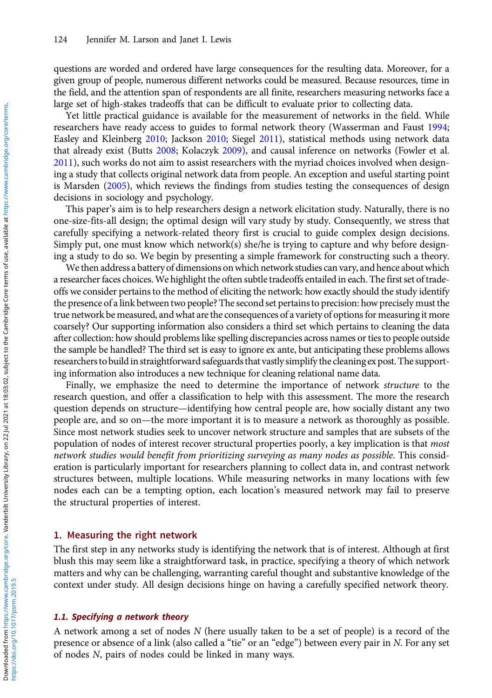questions are worded and ordered have large consequences for the resulting data. Moreover, for a given group of people, numerous different networks could be measured. Because resources, time in the field, and the attention span of respondents are all finite, researchers measuring networks face a large set of high-stakes tradeoffs that can be difficult to evaluate prior to collecting data.

Yet little practical guidance is available for the measurement of networks in the field. While researchers have ready access to guides to formal network theory (Wasserman and Faust [1994](#page-12-0); Easley and Kleinberg [2010;](#page-11-0) Jackson [2010;](#page-11-0) Siegel [2011\)](#page-12-0), statistical methods using network data that already exist (Butts [2008](#page-11-0); Kolaczyk [2009\)](#page-11-0), and causal inference on networks (Fowler et al. [2011\)](#page-11-0), such works do not aim to assist researchers with the myriad choices involved when designing a study that collects original network data from people. An exception and useful starting point is Marsden [\(2005\)](#page-12-0), which reviews the findings from studies testing the consequences of design decisions in sociology and psychology.

This paper's aim is to help researchers design a network elicitation study. Naturally, there is no one-size-fits-all design; the optimal design will vary study by study. Consequently, we stress that carefully specifying a network-related theory first is crucial to guide complex design decisions. Simply put, one must know which network(s) she/he is trying to capture and why before designing a study to do so. We begin by presenting a simple framework for constructing such a theory.

We then address a battery of dimensions on which network studies can vary, and hence about which a researcher faces choices.We highlight the often subtle tradeoffs entailed in each. The first set of tradeoffs we consider pertains to the method of eliciting the network: how exactly should the study identify the presence of a link between two people? The second set pertains to precision: how precisely must the true network be measured, and what are the consequences of a variety of options for measuring it more coarsely? Our supporting information also considers a third set which pertains to cleaning the data after collection: how should problems like spelling discrepancies across names or ties to people outside the sample be handled? The third set is easy to ignore ex ante, but anticipating these problems allows researchers to build in straightforward safeguards that vastly simplify the cleaning ex post. The supporting information also introduces a new technique for cleaning relational name data.

Finally, we emphasize the need to determine the importance of network *structure* to the research question, and offer a classification to help with this assessment. The more the research question depends on structure—identifying how central people are, how socially distant any two people are, and so on—the more important it is to measure a network as thoroughly as possible. Since most network studies seek to uncover network structure and samples that are subsets of the population of nodes of interest recover structural properties poorly, a key implication is that *most* network studies would benefit from prioritizing surveying as many nodes as possible. This consideration is particularly important for researchers planning to collect data in, and contrast network structures between, multiple locations. While measuring networks in many locations with few nodes each can be a tempting option, each location's measured network may fail to preserve the structural properties of interest.

# 1. Measuring the right network

The first step in any networks study is identifying the network that is of interest. Although at first blush this may seem like a straightforward task, in practice, specifying a theory of which network matters and why can be challenging, warranting careful thought and substantive knowledge of the context under study. All design decisions hinge on having a carefully specified network theory.

# 1.1. Specifying a network theory

A network among a set of nodes  $N$  (here usually taken to be a set of people) is a record of the presence or absence of a link (also called a "tie" or an "edge") between every pair in N. For any set of nodes N, pairs of nodes could be linked in many ways.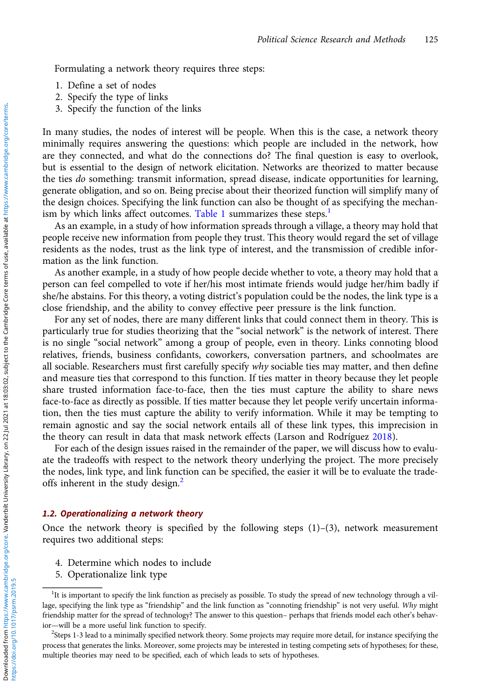Formulating a network theory requires three steps:

- 1. Define a set of nodes
- 2. Specify the type of links
- 3. Specify the function of the links

In many studies, the nodes of interest will be people. When this is the case, a network theory minimally requires answering the questions: which people are included in the network, how are they connected, and what do the connections do? The final question is easy to overlook, but is essential to the design of network elicitation. Networks are theorized to matter because the ties *do* something: transmit information, spread disease, indicate opportunities for learning, generate obligation, and so on. Being precise about their theorized function will simplify many of the design choices. Specifying the link function can also be thought of as specifying the mechan-ism by which links affect outcomes. [Table 1](#page-3-0) summarizes these steps.<sup>1</sup>

As an example, in a study of how information spreads through a village, a theory may hold that people receive new information from people they trust. This theory would regard the set of village residents as the nodes, trust as the link type of interest, and the transmission of credible information as the link function.

As another example, in a study of how people decide whether to vote, a theory may hold that a person can feel compelled to vote if her/his most intimate friends would judge her/him badly if she/he abstains. For this theory, a voting district's population could be the nodes, the link type is a close friendship, and the ability to convey effective peer pressure is the link function.

For any set of nodes, there are many different links that could connect them in theory. This is particularly true for studies theorizing that the "social network" is the network of interest. There is no single "social network" among a group of people, even in theory. Links connoting blood relatives, friends, business confidants, coworkers, conversation partners, and schoolmates are all sociable. Researchers must first carefully specify why sociable ties may matter, and then define and measure ties that correspond to this function. If ties matter in theory because they let people share trusted information face-to-face, then the ties must capture the ability to share news face-to-face as directly as possible. If ties matter because they let people verify uncertain information, then the ties must capture the ability to verify information. While it may be tempting to remain agnostic and say the social network entails all of these link types, this imprecision in the theory can result in data that mask network effects (Larson and Rodríguez [2018](#page-11-0)).

For each of the design issues raised in the remainder of the paper, we will discuss how to evaluate the tradeoffs with respect to the network theory underlying the project. The more precisely the nodes, link type, and link function can be specified, the easier it will be to evaluate the tradeoffs inherent in the study design.<sup>2</sup>

## 1.2. Operationalizing a network theory

Once the network theory is specified by the following steps  $(1)-(3)$ , network measurement requires two additional steps:

- 4. Determine which nodes to include
- 5. Operationalize link type

<sup>&</sup>lt;sup>1</sup>It is important to specify the link function as precisely as possible. To study the spread of new technology through a village, specifying the link type as "friendship" and the link function as "connoting friendship" is not very useful. Why might friendship matter for the spread of technology? The answer to this question– perhaps that friends model each other's behavior—will be a more useful link function to specify.

 $<sup>2</sup>$ Steps 1-3 lead to a minimally specified network theory. Some projects may require more detail, for instance specifying the</sup> process that generates the links. Moreover, some projects may be interested in testing competing sets of hypotheses; for these, multiple theories may need to be specified, each of which leads to sets of hypotheses.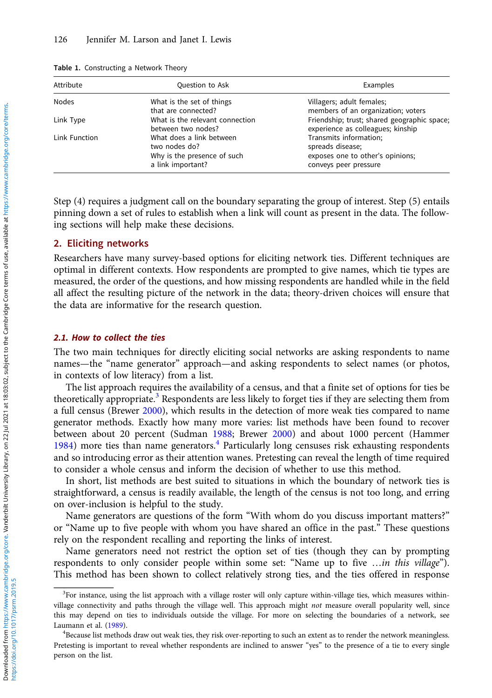| Attribute<br>Question to Ask |                                                                                               | Examples                                                                                                |  |
|------------------------------|-----------------------------------------------------------------------------------------------|---------------------------------------------------------------------------------------------------------|--|
| <b>Nodes</b>                 | What is the set of things<br>that are connected?                                              | Villagers; adult females;<br>members of an organization; voters                                         |  |
| Link Type                    | What is the relevant connection<br>between two nodes?                                         | Friendship; trust; shared geographic space;<br>experience as colleagues; kinship                        |  |
| Link Function                | What does a link between<br>two nodes do?<br>Why is the presence of such<br>a link important? | Transmits information;<br>spreads disease;<br>exposes one to other's opinions;<br>conveys peer pressure |  |

<span id="page-3-0"></span>

|  | <b>Table 1.</b> Constructing a Network Theory |  |  |  |
|--|-----------------------------------------------|--|--|--|
|--|-----------------------------------------------|--|--|--|

Step (4) requires a judgment call on the boundary separating the group of interest. Step (5) entails pinning down a set of rules to establish when a link will count as present in the data. The following sections will help make these decisions.

### 2. Eliciting networks

Researchers have many survey-based options for eliciting network ties. Different techniques are optimal in different contexts. How respondents are prompted to give names, which tie types are measured, the order of the questions, and how missing respondents are handled while in the field all affect the resulting picture of the network in the data; theory-driven choices will ensure that the data are informative for the research question.

# 2.1. How to collect the ties

The two main techniques for directly eliciting social networks are asking respondents to name names—the "name generator" approach—and asking respondents to select names (or photos, in contexts of low literacy) from a list.

The list approach requires the availability of a census, and that a finite set of options for ties be theoretically appropriate.<sup>3</sup> Respondents are less likely to forget ties if they are selecting them from a full census (Brewer [2000\)](#page-11-0), which results in the detection of more weak ties compared to name generator methods. Exactly how many more varies: list methods have been found to recover between about 20 percent (Sudman [1988;](#page-12-0) Brewer [2000\)](#page-11-0) and about 1000 percent (Hammer [1984\)](#page-11-0) more ties than name generators.<sup>4</sup> Particularly long censuses risk exhausting respondents and so introducing error as their attention wanes. Pretesting can reveal the length of time required to consider a whole census and inform the decision of whether to use this method.

In short, list methods are best suited to situations in which the boundary of network ties is straightforward, a census is readily available, the length of the census is not too long, and erring on over-inclusion is helpful to the study.

Name generators are questions of the form "With whom do you discuss important matters?" or "Name up to five people with whom you have shared an office in the past." These questions rely on the respondent recalling and reporting the links of interest.

Name generators need not restrict the option set of ties (though they can by prompting respondents to only consider people within some set: "Name up to five …in this village"). This method has been shown to collect relatively strong ties, and the ties offered in response

<sup>&</sup>lt;sup>3</sup>For instance, using the list approach with a village roster will only capture within-village ties, which measures withinvillage connectivity and paths through the village well. This approach might not measure overall popularity well, since this may depend on ties to individuals outside the village. For more on selecting the boundaries of a network, see Laumann et al.  $(1989)$  $(1989)$ .

<sup>&</sup>lt;sup>4</sup>Because list methods draw out weak ties, they risk over-reporting to such an extent as to render the network meaningless. Pretesting is important to reveal whether respondents are inclined to answer "yes" to the presence of a tie to every single person on the list.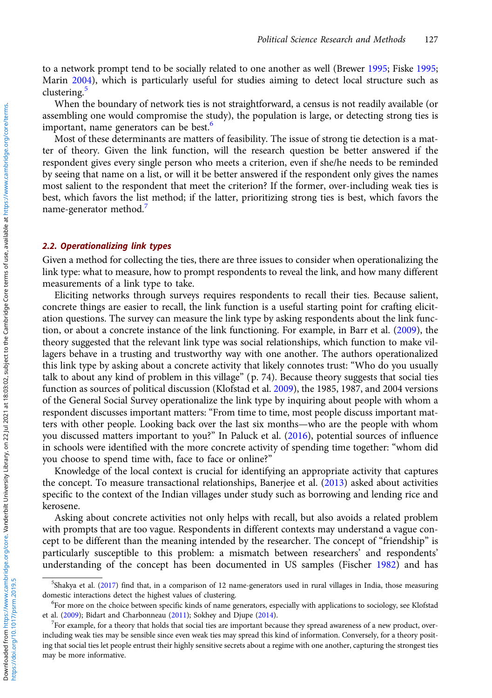to a network prompt tend to be socially related to one another as well (Brewer [1995](#page-11-0); Fiske [1995](#page-11-0); Marin [2004](#page-12-0)), which is particularly useful for studies aiming to detect local structure such as clustering. $\frac{3}{5}$ 

When the boundary of network ties is not straightforward, a census is not readily available (or assembling one would compromise the study), the population is large, or detecting strong ties is important, name generators can be best.<sup>6</sup>

Most of these determinants are matters of feasibility. The issue of strong tie detection is a matter of theory. Given the link function, will the research question be better answered if the respondent gives every single person who meets a criterion, even if she/he needs to be reminded by seeing that name on a list, or will it be better answered if the respondent only gives the names most salient to the respondent that meet the criterion? If the former, over-including weak ties is best, which favors the list method; if the latter, prioritizing strong ties is best, which favors the name-generator method.

#### 2.2. Operationalizing link types

Given a method for collecting the ties, there are three issues to consider when operationalizing the link type: what to measure, how to prompt respondents to reveal the link, and how many different measurements of a link type to take.

Eliciting networks through surveys requires respondents to recall their ties. Because salient, concrete things are easier to recall, the link function is a useful starting point for crafting elicitation questions. The survey can measure the link type by asking respondents about the link function, or about a concrete instance of the link functioning. For example, in Barr et al. ([2009\)](#page-10-0), the theory suggested that the relevant link type was social relationships, which function to make villagers behave in a trusting and trustworthy way with one another. The authors operationalized this link type by asking about a concrete activity that likely connotes trust: "Who do you usually talk to about any kind of problem in this village" (p. 74). Because theory suggests that social ties function as sources of political discussion (Klofstad et al. [2009](#page-11-0)), the 1985, 1987, and 2004 versions of the General Social Survey operationalize the link type by inquiring about people with whom a respondent discusses important matters: "From time to time, most people discuss important matters with other people. Looking back over the last six months—who are the people with whom you discussed matters important to you?" In Paluck et al. ([2016](#page-12-0)), potential sources of influence in schools were identified with the more concrete activity of spending time together: "whom did you choose to spend time with, face to face or online?"

Knowledge of the local context is crucial for identifying an appropriate activity that captures the concept. To measure transactional relationships, Banerjee et al. [\(2013](#page-10-0)) asked about activities specific to the context of the Indian villages under study such as borrowing and lending rice and kerosene.

Asking about concrete activities not only helps with recall, but also avoids a related problem with prompts that are too vague. Respondents in different contexts may understand a vague concept to be different than the meaning intended by the researcher. The concept of "friendship" is particularly susceptible to this problem: a mismatch between researchers' and respondents' understanding of the concept has been documented in US samples (Fischer [1982](#page-11-0)) and has

<sup>5</sup> Shakya et al. ([2017](#page-12-0)) find that, in a comparison of 12 name-generators used in rural villages in India, those measuring domestic interactions detect the highest values of clustering. <sup>6</sup>

For more on the choice between specific kinds of name generators, especially with applications to sociology, see Klofstad et al. ([2009\)](#page-11-0); Bidart and Charbonneau ([2011](#page-10-0)); Sokhey and Djupe ([2014](#page-12-0)).

<sup>&</sup>lt;sup>7</sup>For example, for a theory that holds that social ties are important because they spread awareness of a new product, overincluding weak ties may be sensible since even weak ties may spread this kind of information. Conversely, for a theory positing that social ties let people entrust their highly sensitive secrets about a regime with one another, capturing the strongest ties may be more informative.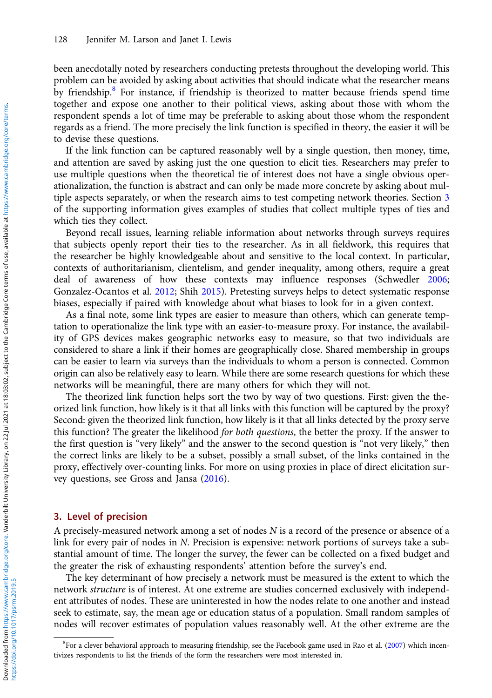been anecdotally noted by researchers conducting pretests throughout the developing world. This problem can be avoided by asking about activities that should indicate what the researcher means by friendship.<sup>8</sup> For instance, if friendship is theorized to matter because friends spend time together and expose one another to their political views, asking about those with whom the respondent spends a lot of time may be preferable to asking about those whom the respondent regards as a friend. The more precisely the link function is specified in theory, the easier it will be to devise these questions.

If the link function can be captured reasonably well by a single question, then money, time, and attention are saved by asking just the one question to elicit ties. Researchers may prefer to use multiple questions when the theoretical tie of interest does not have a single obvious operationalization, the function is abstract and can only be made more concrete by asking about multiple aspects separately, or when the research aims to test competing network theories. Section 3 of the supporting information gives examples of studies that collect multiple types of ties and which ties they collect.

Beyond recall issues, learning reliable information about networks through surveys requires that subjects openly report their ties to the researcher. As in all fieldwork, this requires that the researcher be highly knowledgeable about and sensitive to the local context. In particular, contexts of authoritarianism, clientelism, and gender inequality, among others, require a great deal of awareness of how these contexts may influence responses (Schwedler [2006](#page-12-0); Gonzalez-Ocantos et al. [2012](#page-11-0); Shih [2015\)](#page-12-0). Pretesting surveys helps to detect systematic response biases, especially if paired with knowledge about what biases to look for in a given context.

As a final note, some link types are easier to measure than others, which can generate temptation to operationalize the link type with an easier-to-measure proxy. For instance, the availability of GPS devices makes geographic networks easy to measure, so that two individuals are considered to share a link if their homes are geographically close. Shared membership in groups can be easier to learn via surveys than the individuals to whom a person is connected. Common origin can also be relatively easy to learn. While there are some research questions for which these networks will be meaningful, there are many others for which they will not.

The theorized link function helps sort the two by way of two questions. First: given the theorized link function, how likely is it that all links with this function will be captured by the proxy? Second: given the theorized link function, how likely is it that all links detected by the proxy serve this function? The greater the likelihood for both questions, the better the proxy. If the answer to the first question is "very likely" and the answer to the second question is "not very likely," then the correct links are likely to be a subset, possibly a small subset, of the links contained in the proxy, effectively over-counting links. For more on using proxies in place of direct elicitation survey questions, see Gross and Jansa ([2016](#page-11-0)).

# 3. Level of precision

A precisely-measured network among a set of nodes N is a record of the presence or absence of a link for every pair of nodes in N. Precision is expensive: network portions of surveys take a substantial amount of time. The longer the survey, the fewer can be collected on a fixed budget and the greater the risk of exhausting respondents' attention before the survey's end.

The key determinant of how precisely a network must be measured is the extent to which the network structure is of interest. At one extreme are studies concerned exclusively with independent attributes of nodes. These are uninterested in how the nodes relate to one another and instead seek to estimate, say, the mean age or education status of a population. Small random samples of nodes will recover estimates of population values reasonably well. At the other extreme are the

<sup>&</sup>lt;sup>8</sup>For a clever behavioral approach to measuring friendship, see the Facebook game used in Rao et al. ([2007\)](#page-12-0) which incentivizes respondents to list the friends of the form the researchers were most interested in.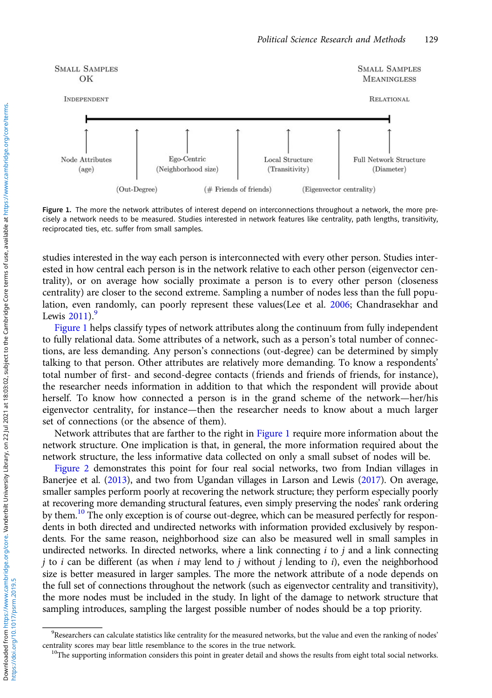

Figure 1. The more the network attributes of interest depend on interconnections throughout a network, the more precisely a network needs to be measured. Studies interested in network features like centrality, path lengths, transitivity, reciprocated ties, etc. suffer from small samples.

studies interested in the way each person is interconnected with every other person. Studies interested in how central each person is in the network relative to each other person (eigenvector centrality), or on average how socially proximate a person is to every other person (closeness centrality) are closer to the second extreme. Sampling a number of nodes less than the full population, even randomly, can poorly represent these values(Lee et al. [2006;](#page-11-0) Chandrasekhar and Lewis  $2011$ .

Figure 1 helps classify types of network attributes along the continuum from fully independent to fully relational data. Some attributes of a network, such as a person's total number of connections, are less demanding. Any person's connections (out-degree) can be determined by simply talking to that person. Other attributes are relatively more demanding. To know a respondents' total number of first- and second-degree contacts (friends and friends of friends, for instance), the researcher needs information in addition to that which the respondent will provide about herself. To know how connected a person is in the grand scheme of the network—her/his eigenvector centrality, for instance—then the researcher needs to know about a much larger set of connections (or the absence of them).

Network attributes that are farther to the right in Figure 1 require more information about the network structure. One implication is that, in general, the more information required about the network structure, the less informative data collected on only a small subset of nodes will be.

[Figure 2](#page-7-0) demonstrates this point for four real social networks, two from Indian villages in Banerjee et al. ([2013](#page-10-0)), and two from Ugandan villages in Larson and Lewis [\(2017\)](#page-11-0). On average, smaller samples perform poorly at recovering the network structure; they perform especially poorly at recovering more demanding structural features, even simply preserving the nodes' rank ordering by them.<sup>10</sup> The only exception is of course out-degree, which can be measured perfectly for respondents in both directed and undirected networks with information provided exclusively by respondents. For the same reason, neighborhood size can also be measured well in small samples in undirected networks. In directed networks, where a link connecting  $i$  to  $j$  and a link connecting *j* to *i* can be different (as when *i* may lend to *j* without *j* lending to *i*), even the neighborhood size is better measured in larger samples. The more the network attribute of a node depends on the full set of connections throughout the network (such as eigenvector centrality and transitivity), the more nodes must be included in the study. In light of the damage to network structure that sampling introduces, sampling the largest possible number of nodes should be a top priority.

<sup>&</sup>lt;sup>9</sup>Researchers can calculate statistics like centrality for the measured networks, but the value and even the ranking of nodes' centrality scores may bear little resemblance to the scores in the true network. <sup>10</sup>The supporting information considers this point in greater detail and shows the results from eight total social networks.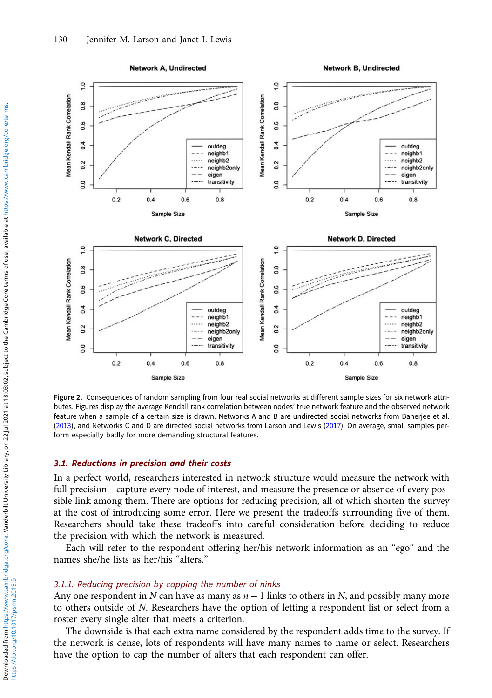<span id="page-7-0"></span>

Figure 2. Consequences of random sampling from four real social networks at different sample sizes for six network attributes. Figures display the average Kendall rank correlation between nodes' true network feature and the observed network feature when a sample of a certain size is drawn. Networks A and B are undirected social networks from Banerjee et al. [\(2013](#page-10-0)), and Networks C and D are directed social networks from Larson and Lewis ([2017\)](#page-11-0). On average, small samples perform especially badly for more demanding structural features.

# 3.1. Reductions in precision and their costs

In a perfect world, researchers interested in network structure would measure the network with full precision—capture every node of interest, and measure the presence or absence of every possible link among them. There are options for reducing precision, all of which shorten the survey at the cost of introducing some error. Here we present the tradeoffs surrounding five of them. Researchers should take these tradeoffs into careful consideration before deciding to reduce the precision with which the network is measured.

Each will refer to the respondent offering her/his network information as an "ego" and the names she/he lists as her/his "alters."

## 3.1.1. Reducing precision by capping the number of ninks

Any one respondent in N can have as many as  $n - 1$  links to others in N, and possibly many more to others outside of N. Researchers have the option of letting a respondent list or select from a roster every single alter that meets a criterion.

The downside is that each extra name considered by the respondent adds time to the survey. If the network is dense, lots of respondents will have many names to name or select. Researchers have the option to cap the number of alters that each respondent can offer.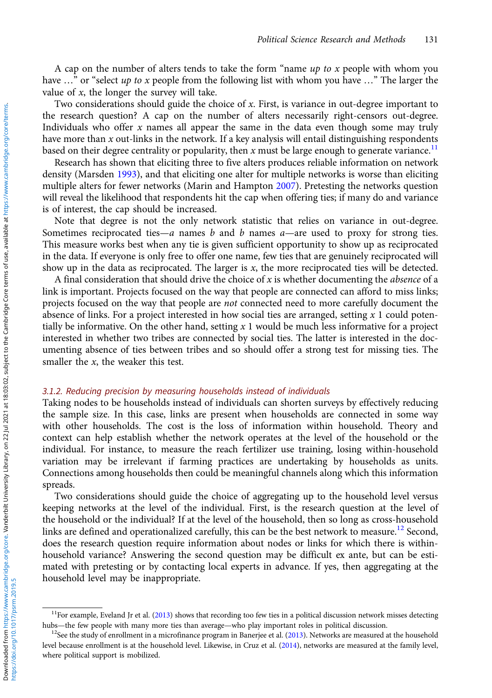A cap on the number of alters tends to take the form "name  $up$  to x people with whom you have  $\ldots$ " or "select up to x people from the following list with whom you have  $\ldots$ " The larger the value of  $x$ , the longer the survey will take.

Two considerations should guide the choice of  $x$ . First, is variance in out-degree important to the research question? A cap on the number of alters necessarily right-censors out-degree. Individuals who offer  $x$  names all appear the same in the data even though some may truly have more than  $x$  out-links in the network. If a key analysis will entail distinguishing respondents based on their degree centrality or popularity, then x must be large enough to generate variance.<sup>11</sup>

Research has shown that eliciting three to five alters produces reliable information on network density (Marsden [1993](#page-12-0)), and that eliciting one alter for multiple networks is worse than eliciting multiple alters for fewer networks (Marin and Hampton [2007\)](#page-12-0). Pretesting the networks question will reveal the likelihood that respondents hit the cap when offering ties; if many do and variance is of interest, the cap should be increased.

Note that degree is not the only network statistic that relies on variance in out-degree. Sometimes reciprocated ties—a names  $b$  and  $b$  names  $a$ —are used to proxy for strong ties. This measure works best when any tie is given sufficient opportunity to show up as reciprocated in the data. If everyone is only free to offer one name, few ties that are genuinely reciprocated will show up in the data as reciprocated. The larger is  $x$ , the more reciprocated ties will be detected.

A final consideration that should drive the choice of  $x$  is whether documenting the *absence* of a link is important. Projects focused on the way that people are connected can afford to miss links; projects focused on the way that people are not connected need to more carefully document the absence of links. For a project interested in how social ties are arranged, setting  $x$  1 could potentially be informative. On the other hand, setting  $x 1$  would be much less informative for a project interested in whether two tribes are connected by social ties. The latter is interested in the documenting absence of ties between tribes and so should offer a strong test for missing ties. The smaller the  $x$ , the weaker this test.

# 3.1.2. Reducing precision by measuring households instead of individuals

Taking nodes to be households instead of individuals can shorten surveys by effectively reducing the sample size. In this case, links are present when households are connected in some way with other households. The cost is the loss of information within household. Theory and context can help establish whether the network operates at the level of the household or the individual. For instance, to measure the reach fertilizer use training, losing within-household variation may be irrelevant if farming practices are undertaking by households as units. Connections among households then could be meaningful channels along which this information spreads.

Two considerations should guide the choice of aggregating up to the household level versus keeping networks at the level of the individual. First, is the research question at the level of the household or the individual? If at the level of the household, then so long as cross-household links are defined and operationalized carefully, this can be the best network to measure.<sup>12</sup> Second, does the research question require information about nodes or links for which there is withinhousehold variance? Answering the second question may be difficult ex ante, but can be estimated with pretesting or by contacting local experts in advance. If yes, then aggregating at the household level may be inappropriate.

 $11$ For example, Eveland Jr et al. [\(2013\)](#page-11-0) shows that recording too few ties in a political discussion network misses detecting hubs—the few people with many more ties than average—who play important roles in political discussion.<br><sup>12</sup>See the study of enrollment in a microfinance program in Banerjee et al. ([2013\)](#page-10-0). Networks are measured at the house

level because enrollment is at the household level. Likewise, in Cruz et al. [\(2014\)](#page-11-0), networks are measured at the family level, where political support is mobilized.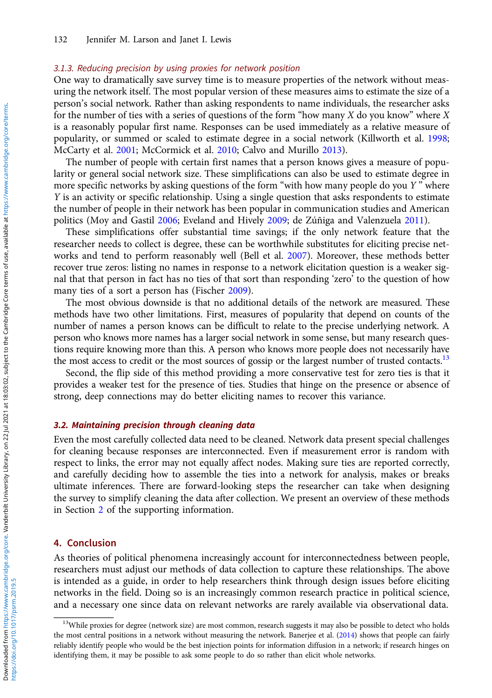## 3.1.3. Reducing precision by using proxies for network position

One way to dramatically save survey time is to measure properties of the network without measuring the network itself. The most popular version of these measures aims to estimate the size of a person's social network. Rather than asking respondents to name individuals, the researcher asks for the number of ties with a series of questions of the form "how many  $X$  do you know" where  $X$ is a reasonably popular first name. Responses can be used immediately as a relative measure of popularity, or summed or scaled to estimate degree in a social network (Killworth et al. [1998](#page-11-0); McCarty et al. [2001](#page-12-0); McCormick et al. [2010](#page-12-0); Calvo and Murillo [2013\)](#page-11-0).

The number of people with certain first names that a person knows gives a measure of popularity or general social network size. These simplifications can also be used to estimate degree in more specific networks by asking questions of the form "with how many people do you  $Y$ " where Y is an activity or specific relationship. Using a single question that asks respondents to estimate the number of people in their network has been popular in communication studies and American politics (Moy and Gastil [2006;](#page-12-0) Eveland and Hively [2009;](#page-11-0) de Zúñiga and Valenzuela [2011](#page-11-0)).

These simplifications offer substantial time savings; if the only network feature that the researcher needs to collect is degree, these can be worthwhile substitutes for eliciting precise networks and tend to perform reasonably well (Bell et al. [2007\)](#page-10-0). Moreover, these methods better recover true zeros: listing no names in response to a network elicitation question is a weaker signal that that person in fact has no ties of that sort than responding 'zero' to the question of how many ties of a sort a person has (Fischer [2009](#page-11-0)).

The most obvious downside is that no additional details of the network are measured. These methods have two other limitations. First, measures of popularity that depend on counts of the number of names a person knows can be difficult to relate to the precise underlying network. A person who knows more names has a larger social network in some sense, but many research questions require knowing more than this. A person who knows more people does not necessarily have the most access to credit or the most sources of gossip or the largest number of trusted contacts.<sup>13</sup>

Second, the flip side of this method providing a more conservative test for zero ties is that it provides a weaker test for the presence of ties. Studies that hinge on the presence or absence of strong, deep connections may do better eliciting names to recover this variance.

#### 3.2. Maintaining precision through cleaning data

Even the most carefully collected data need to be cleaned. Network data present special challenges for cleaning because responses are interconnected. Even if measurement error is random with respect to links, the error may not equally affect nodes. Making sure ties are reported correctly, and carefully deciding how to assemble the ties into a network for analysis, makes or breaks ultimate inferences. There are forward-looking steps the researcher can take when designing the survey to simplify cleaning the data after collection. We present an overview of these methods in Section [2](#page-3-0) of the supporting information.

# 4. Conclusion

As theories of political phenomena increasingly account for interconnectedness between people, researchers must adjust our methods of data collection to capture these relationships. The above is intended as a guide, in order to help researchers think through design issues before eliciting networks in the field. Doing so is an increasingly common research practice in political science, and a necessary one since data on relevant networks are rarely available via observational data.

<sup>&</sup>lt;sup>13</sup>While proxies for degree (network size) are most common, research suggests it may also be possible to detect who holds the most central positions in a network without measuring the network. Banerjee et al. [\(2014](#page-10-0)) shows that people can fairly reliably identify people who would be the best injection points for information diffusion in a network; if research hinges on identifying them, it may be possible to ask some people to do so rather than elicit whole networks.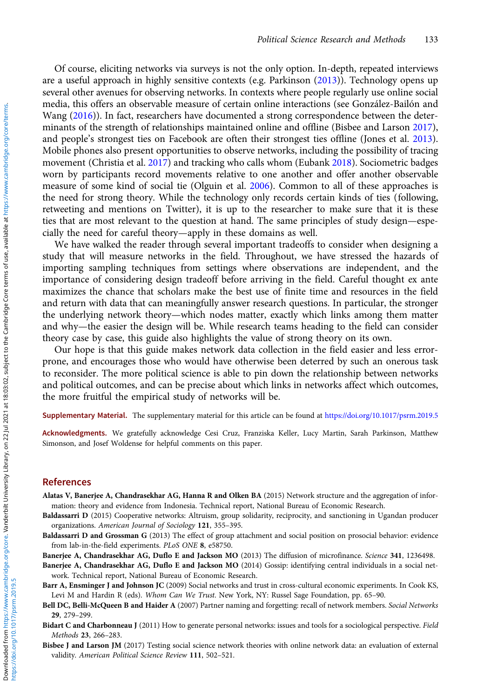<span id="page-10-0"></span>Of course, eliciting networks via surveys is not the only option. In-depth, repeated interviews are a useful approach in highly sensitive contexts (e.g. Parkinson [\(2013\)](#page-12-0)). Technology opens up several other avenues for observing networks. In contexts where people regularly use online social media, this offers an observable measure of certain online interactions (see González-Bailón and Wang [\(2016\)](#page-11-0)). In fact, researchers have documented a strong correspondence between the determinants of the strength of relationships maintained online and offline (Bisbee and Larson 2017), and people's strongest ties on Facebook are often their strongest ties offline (Jones et al. [2013\)](#page-11-0). Mobile phones also present opportunities to observe networks, including the possibility of tracing movement (Christia et al. [2017](#page-11-0)) and tracking who calls whom (Eubank [2018\)](#page-11-0). Sociometric badges worn by participants record movements relative to one another and offer another observable measure of some kind of social tie (Olguin et al. [2006](#page-12-0)). Common to all of these approaches is the need for strong theory. While the technology only records certain kinds of ties (following, retweeting and mentions on Twitter), it is up to the researcher to make sure that it is these ties that are most relevant to the question at hand. The same principles of study design—especially the need for careful theory—apply in these domains as well.

We have walked the reader through several important tradeoffs to consider when designing a study that will measure networks in the field. Throughout, we have stressed the hazards of importing sampling techniques from settings where observations are independent, and the importance of considering design tradeoff before arriving in the field. Careful thought ex ante maximizes the chance that scholars make the best use of finite time and resources in the field and return with data that can meaningfully answer research questions. In particular, the stronger the underlying network theory—which nodes matter, exactly which links among them matter and why—the easier the design will be. While research teams heading to the field can consider theory case by case, this guide also highlights the value of strong theory on its own.

Our hope is that this guide makes network data collection in the field easier and less errorprone, and encourages those who would have otherwise been deterred by such an onerous task to reconsider. The more political science is able to pin down the relationship between networks and political outcomes, and can be precise about which links in networks affect which outcomes, the more fruitful the empirical study of networks will be.

Supplementary Material. The supplementary material for this article can be found at <https://doi.org/10.1017/psrm.2019.5>

Acknowledgments. We gratefully acknowledge Cesi Cruz, Franziska Keller, Lucy Martin, Sarah Parkinson, Matthew Simonson, and Josef Woldense for helpful comments on this paper.

# References

- Alatas V, Banerjee A, Chandrasekhar AG, Hanna R and Olken BA (2015) Network structure and the aggregation of information: theory and evidence from Indonesia. Technical report, National Bureau of Economic Research.
- Baldassarri D (2015) Cooperative networks: Altruism, group solidarity, reciprocity, and sanctioning in Ugandan producer organizations. American Journal of Sociology 121, 355–395.
- Baldassarri D and Grossman G (2013) The effect of group attachment and social position on prosocial behavior: evidence from lab-in-the-field experiments. PLoS ONE 8, e58750.
- Banerjee A, Chandrasekhar AG, Duflo E and Jackson MO (2013) The diffusion of microfinance. Science 341, 1236498.
- Banerjee A, Chandrasekhar AG, Duflo E and Jackson MO (2014) Gossip: identifying central individuals in a social network. Technical report, National Bureau of Economic Research.
- Barr A, Ensminger J and Johnson JC (2009) Social networks and trust in cross-cultural economic experiments. In Cook KS, Levi M and Hardin R (eds). Whom Can We Trust. New York, NY: Russel Sage Foundation, pp. 65–90.
- Bell DC, Belli-McQueen B and Haider A (2007) Partner naming and forgetting: recall of network members. Social Networks 29, 279–299.
- Bidart C and Charbonneau J (2011) How to generate personal networks: issues and tools for a sociological perspective. Field Methods 23, 266–283.
- Bisbee J and Larson JM (2017) Testing social science network theories with online network data: an evaluation of external validity. American Political Science Review 111, 502–521.

https://doi.org/10.1017/psrm.2019.5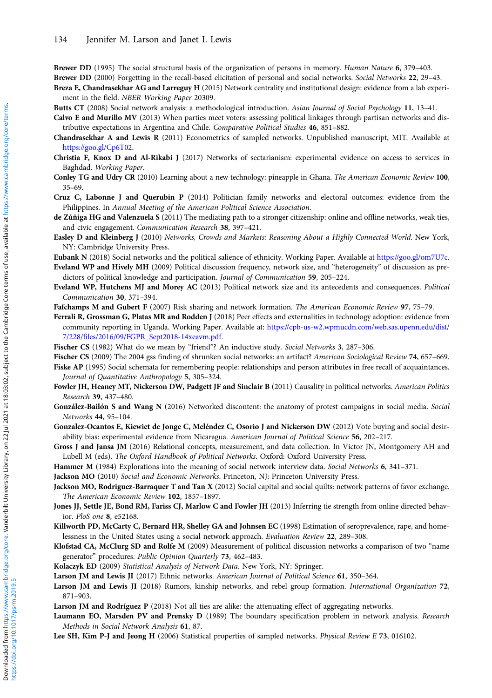<span id="page-11-0"></span>Brewer DD (1995) The social structural basis of the organization of persons in memory. Human Nature 6, 379–403. Brewer DD (2000) Forgetting in the recall-based elicitation of personal and social networks. Social Networks 22, 29–43.

- Breza E, Chandrasekhar AG and Larreguy H (2015) Network centrality and institutional design: evidence from a lab experiment in the field. NBER Working Paper 20309.
- Butts CT (2008) Social network analysis: a methodological introduction. Asian Journal of Social Psychology 11, 13–41.
- Calvo E and Murillo MV (2013) When parties meet voters: assessing political linkages through partisan networks and distributive expectations in Argentina and Chile. Comparative Political Studies 46, 851–882.
- Chandrasekhar A and Lewis R (2011) Econometrics of sampled networks. Unpublished manuscript, MIT. Available at [https://goo.gl/Cp6T02](http://https://goo.gl/Cp6T02).
- Christia F, Knox D and Al-Rikabi J (2017) Networks of sectarianism: experimental evidence on access to services in Baghdad. Working Paper.
- Conley TG and Udry CR (2010) Learning about a new technology: pineapple in Ghana. The American Economic Review 100, 35–69.
- Cruz C, Labonne J and Querubin P (2014) Politician family networks and electoral outcomes: evidence from the Philippines. In Annual Meeting of the American Political Science Association.
- de Zúñiga HG and Valenzuela S (2011) The mediating path to a stronger citizenship: online and offline networks, weak ties, and civic engagement. Communication Research 38, 397–421.
- Easley D and Kleinberg J (2010) Networks, Crowds and Markets: Reasoning About a Highly Connected World. New York, NY: Cambridge University Press.
- Eubank N (2018) Social networks and the political salience of ethnicity. Working Paper. Available at [https://goo.gl/om7U7c.](http://https://goo.gl/om7U7c) Eveland WP and Hively MH (2009) Political discussion frequency, network size, and "heterogeneity" of discussion as predictors of political knowledge and participation. *Journal of Communication* 59, 205–224.
- Eveland WP, Hutchens MJ and Morey AC (2013) Political network size and its antecedents and consequences. Political Communication 30, 371–394.
- Fafchamps M and Gubert F (2007) Risk sharing and network formation. The American Economic Review 97, 75-79.
- Ferrali R, Grossman G, Platas MR and Rodden J (2018) Peer effects and externalities in technology adoption: evidence from community reporting in Uganda. Working Paper. Available at: [https://cpb-us-w2.wpmucdn.com/web.sas.upenn.edu/dist/](https://cpb-us-w2.wpmucdn.com/web.sas.upenn.edu/dist/7/228/files/2016/09/FGPR_Sept2018-14xeavm.pdf) [7/228/files/2016/09/FGPR\\_Sept2018-14xeavm.pdf.](https://cpb-us-w2.wpmucdn.com/web.sas.upenn.edu/dist/7/228/files/2016/09/FGPR_Sept2018-14xeavm.pdf)
- Fischer CS (1982) What do we mean by "friend"? An inductive study. Social Networks 3, 287–306.
- Fischer CS (2009) The 2004 gss finding of shrunken social networks: an artifact? American Sociological Review 74, 657–669. Fiske AP (1995) Social schemata for remembering people: relationships and person attributes in free recall of acquaintances. Journal of Quantitative Anthropology 5, 305–324.
- Fowler JH, Heaney MT, Nickerson DW, Padgett JF and Sinclair B (2011) Causality in political networks. American Politics Research 39, 437–480.
- González-Bailón S and Wang N (2016) Networked discontent: the anatomy of protest campaigns in social media. Social Networks 44, 95–104.
- Gonzalez-Ocantos E, Kiewiet de Jonge C, Meléndez C, Osorio J and Nickerson DW (2012) Vote buying and social desirability bias: experimental evidence from Nicaragua. American Journal of Political Science 56, 202–217.
- Gross J and Jansa JM (2016) Relational concepts, measurement, and data collection. In Victor JN, Montgomery AH and Lubell M (eds). The Oxford Handbook of Political Networks. Oxford: Oxford University Press.
- Hammer M (1984) Explorations into the meaning of social network interview data. Social Networks 6, 341–371.
- Jackson MO (2010) Social and Economic Networks. Princeton, NJ: Princeton University Press.
- Jackson MO, Rodriguez-Barraquer T and Tan X (2012) Social capital and social quilts: network patterns of favor exchange. The American Economic Review 102, 1857–1897.
- Jones JJ, Settle JE, Bond RM, Fariss CJ, Marlow C and Fowler JH (2013) Inferring tie strength from online directed behavior. PloS one 8, e52168.
- Killworth PD, McCarty C, Bernard HR, Shelley GA and Johnsen EC (1998) Estimation of seroprevalence, rape, and homelessness in the United States using a social network approach. Evaluation Review 22, 289–308.
- Klofstad CA, McClurg SD and Rolfe M (2009) Measurement of political discussion networks a comparison of two "name generator" procedures. Public Opinion Quarterly 73, 462–483.
- Kolaczyk ED (2009) Statistical Analysis of Network Data. New York, NY: Springer.
- Larson JM and Lewis JI (2017) Ethnic networks. American Journal of Political Science 61, 350–364.
- Larson JM and Lewis JI (2018) Rumors, kinship networks, and rebel group formation. International Organization 72, 871–903.
- Larson JM and Rodríguez P (2018) Not all ties are alike: the attenuating effect of aggregating networks.
- Laumann EO, Marsden PV and Prensky D (1989) The boundary specification problem in network analysis. Research Methods in Social Network Analysis 61, 87.
- Lee SH, Kim P-J and Jeong H (2006) Statistical properties of sampled networks. Physical Review E 73, 016102.